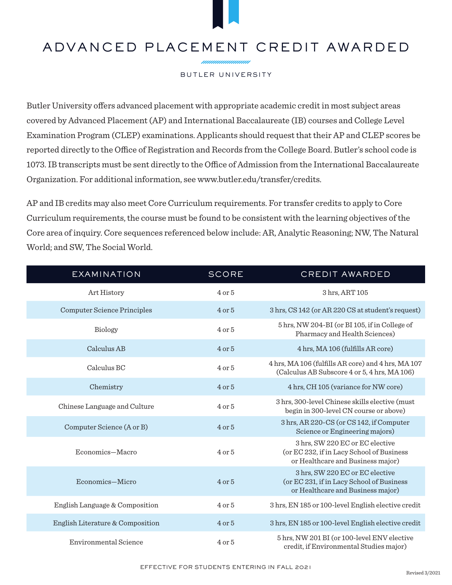## ADVANCED PLACEMENT CREDIT AWARDED

nnnnnnnnnnn

## BUTLER UNIVERSITY

Butler University offers advanced placement with appropriate academic credit in most subject areas covered by Advanced Placement (AP) and International Baccalaureate (IB) courses and College Level Examination Program (CLEP) examinations. Applicants should request that their AP and CLEP scores be reported directly to the Office of Registration and Records from the College Board. Butler's school code is 1073. IB transcripts must be sent directly to the Office of Admission from the International Baccalaureate Organization. For additional information, see www.butler.edu/transfer/credits.

AP and IB credits may also meet Core Curriculum requirements. For transfer credits to apply to Core Curriculum requirements, the course must be found to be consistent with the learning objectives of the Core area of inquiry. Core sequences referenced below include: AR, Analytic Reasoning; NW, The Natural World; and SW, The Social World.

| <b>EXAMINATION</b>                 | <b>SCORE</b> | <b>CREDIT AWARDED</b>                                                                                             |
|------------------------------------|--------------|-------------------------------------------------------------------------------------------------------------------|
| Art History                        | $4$ or $5$   | 3 hrs, ART 105                                                                                                    |
| <b>Computer Science Principles</b> | $4$ or $5$   | 3 hrs, CS 142 (or AR 220 CS at student's request)                                                                 |
| Biology                            | $4$ or $5$   | 5 hrs, NW 204-BI (or BI 105, if in College of<br>Pharmacy and Health Sciences)                                    |
| Calculus AB                        | $4$ or $5$   | 4 hrs, MA 106 (fulfills AR core)                                                                                  |
| Calculus BC                        | $4$ or $5$   | 4 hrs, MA 106 (fulfills AR core) and 4 hrs, MA 107<br>(Calculus AB Subscore 4 or 5, 4 hrs, MA 106)                |
| Chemistry                          | $4$ or $5$   | 4 hrs, CH 105 (variance for NW core)                                                                              |
| Chinese Language and Culture       | $4$ or $5$   | 3 hrs, 300-level Chinese skills elective (must<br>begin in 300-level CN course or above)                          |
| Computer Science (A or B)          | $4$ or $5$   | 3 hrs, AR 220-CS (or CS 142, if Computer<br>Science or Engineering majors)                                        |
| Economics-Macro                    | $4$ or $5$   | 3 hrs, SW 220 EC or EC elective<br>(or EC 232, if in Lacy School of Business<br>or Healthcare and Business major) |
| Economics-Micro                    | $4$ or $5$   | 3 hrs, SW 220 EC or EC elective<br>(or EC 231, if in Lacy School of Business<br>or Healthcare and Business major) |
| English Language & Composition     | $4$ or $5$   | 3 hrs, EN 185 or 100-level English elective credit                                                                |
| English Literature & Composition   | $4$ or $5$   | 3 hrs, EN 185 or 100-level English elective credit                                                                |
| Environmental Science              | $4$ or $5$   | 5 hrs, NW 201 BI (or 100-level ENV elective<br>credit, if Environmental Studies major)                            |